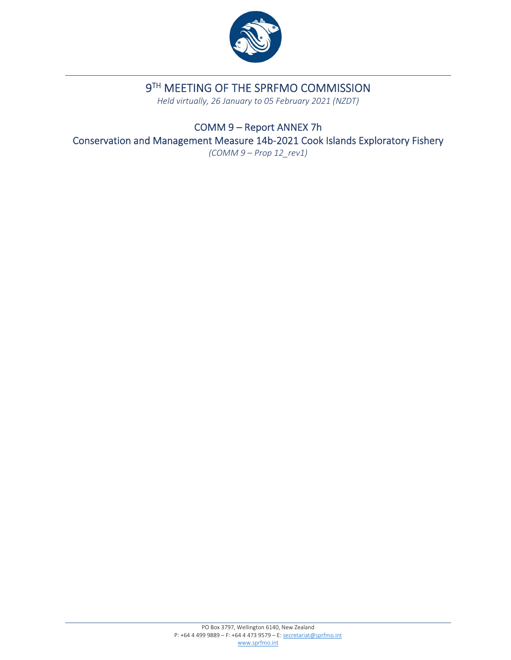

# **9TH MEETING OF THE SPRFMO COMMISSION**

*Held virtually, 26 January to 05 February 2021 (NZDT)*

COMM 9 – Report ANNEX 7h Conservation and Management Measure 14b‐2021 Cook Islands Exploratory Fishery *(COMM 9 – Prop 12\_rev1)*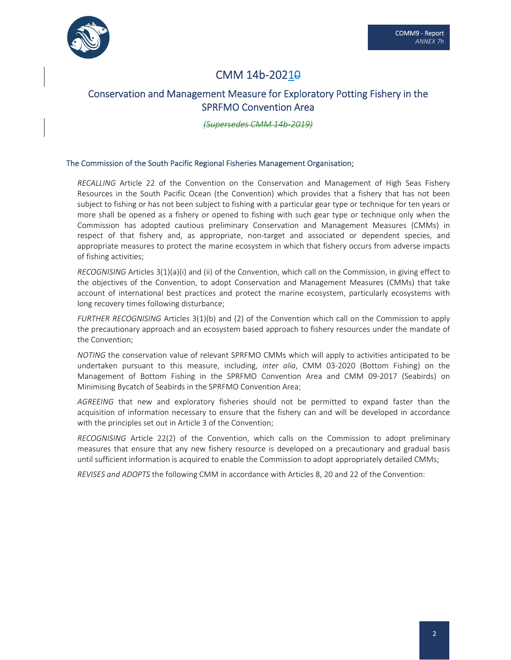

# CMM 14b-2021<del>0</del>

# Conservation and Management Measure for Exploratory Potting Fishery in the SPRFMO Convention Area

*(Supersedes CMM 14b‐2019)*

#### The Commission of the South Pacific Regional Fisheries Management Organisation;

*RECALLING* Article 22 of the Convention on the Conservation and Management of High Seas Fishery Resources in the South Pacific Ocean (the Convention) which provides that a fishery that has not been subject to fishing or has not been subject to fishing with a particular gear type or technique for ten years or more shall be opened as a fishery or opened to fishing with such gear type or technique only when the Commission has adopted cautious preliminary Conservation and Management Measures (CMMs) in respect of that fishery and, as appropriate, non-target and associated or dependent species, and appropriate measures to protect the marine ecosystem in which that fishery occurs from adverse impacts of fishing activities;

*RECOGNISING* Articles 3(1)(a)(i) and (ii) of the Convention, which call on the Commission, in giving effect to the objectives of the Convention, to adopt Conservation and Management Measures (CMMs) that take account of international best practices and protect the marine ecosystem, particularly ecosystems with long recovery times following disturbance;

*FURTHER RECOGNISING* Articles 3(1)(b) and (2) of the Convention which call on the Commission to apply the precautionary approach and an ecosystem based approach to fishery resources under the mandate of the Convention;

*NOTING* the conservation value of relevant SPRFMO CMMs which will apply to activities anticipated to be undertaken pursuant to this measure, including, *inter alia*, CMM 03‐2020 (Bottom Fishing) on the Management of Bottom Fishing in the SPRFMO Convention Area and CMM 09-2017 (Seabirds) on Minimising Bycatch of Seabirds in the SPRFMO Convention Area;

*AGREEING* that new and exploratory fisheries should not be permitted to expand faster than the acquisition of information necessary to ensure that the fishery can and will be developed in accordance with the principles set out in Article 3 of the Convention;

*RECOGNISING* Article 22(2) of the Convention, which calls on the Commission to adopt preliminary measures that ensure that any new fishery resource is developed on a precautionary and gradual basis until sufficient information is acquired to enable the Commission to adopt appropriately detailed CMMs;

*REVISES and ADOPTS* the following CMM in accordance with Articles 8, 20 and 22 of the Convention: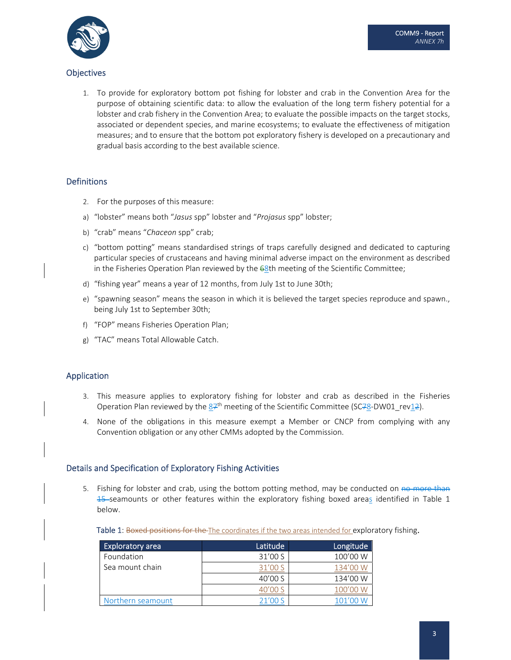

## **Objectives**

1. To provide for exploratory bottom pot fishing for lobster and crab in the Convention Area for the purpose of obtaining scientific data: to allow the evaluation of the long term fishery potential for a lobster and crab fishery in the Convention Area; to evaluate the possible impacts on the target stocks, associated or dependent species, and marine ecosystems; to evaluate the effectiveness of mitigation measures; and to ensure that the bottom pot exploratory fishery is developed on a precautionary and gradual basis according to the best available science.

## **Definitions**

- 2. For the purposes of this measure:
- a) "lobster" means both "*Jasus* spp" lobster and "*Projasus* spp" lobster;
- b) "crab" means "*Chaceon* spp" crab;
- c) "bottom potting" means standardised strings of traps carefully designed and dedicated to capturing particular species of crustaceans and having minimal adverse impact on the environment as described in the Fisheries Operation Plan reviewed by the  $68$ th meeting of the Scientific Committee;
- d) "fishing year" means a year of 12 months, from July 1st to June 30th;
- e) "spawning season" means the season in which it is believed the target species reproduce and spawn., being July 1st to September 30th;
- f) "FOP" means Fisheries Operation Plan;
- g) "TAC" means Total Allowable Catch.

## Application

- 3. This measure applies to exploratory fishing for lobster and crab as described in the Fisheries Operation Plan reviewed by the  $87<sup>th</sup>$  meeting of the Scientific Committee (SC78-DW01\_rev12).
- 4. None of the obligations in this measure exempt a Member or CNCP from complying with any Convention obligation or any other CMMs adopted by the Commission.

## Details and Specification of Exploratory Fishing Activities

5. Fishing for lobster and crab, using the bottom potting method, may be conducted on no more than 15 seamounts or other features within the exploratory fishing boxed areas identified in Table 1 below.

Table 1: Boxed positions for the The coordinates if the two areas intended for exploratory fishing.

| <b>Exploratory area</b> | Latitude | Longitude |
|-------------------------|----------|-----------|
| Foundation              | 31'00 S  | 100'00 W  |
| Sea mount chain         | 31'00 S  | 134'00 W  |
|                         | 40'00S   | 134'00 W  |
|                         | 40'00 S  | 100'00 W  |
| Northern seamount       | 21'00 S  | 101'00 W  |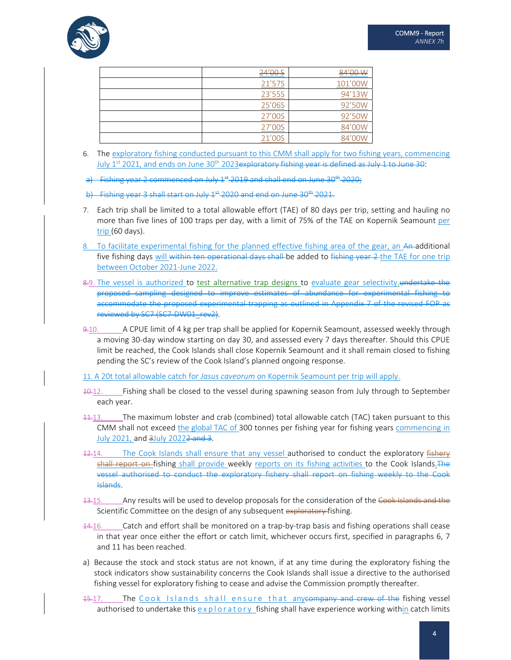

| 24'00 S | 84'00 W |
|---------|---------|
| 21'57S  | 101'00W |
| 23'55S  | 94'13W  |
| 25'06S  | 92'50W  |
| 27'00S  | 92'50W  |
| 27'00S  | 84'00W  |
| 21'00S  |         |

6. The exploratory fishing conducted pursuant to this CMM shall apply for two fishing years, commencing July 1<sup>st</sup> 2021, and ends on June 30<sup>th</sup> 2023<del>exploratory fishing year is defined as July 1 to June 30:</del>

Fishing year 2 commenced on July  $1<sup>st</sup>$  2019 and shall end on June 30<sup>th</sup> 2020;

b) Fishing year 3 shall start on July  $1<sup>st</sup>$  2020 and end on June 30<sup>th</sup> 2021.

- 7. Each trip shall be limited to a total allowable effort (TAE) of 80 days per trip, setting and hauling no more than five lines of 100 traps per day, with a limit of 75% of the TAE on Kopernik Seamount per trip (60 days).
- To facilitate experimental fishing for the planned effective fishing area of the gear, an An-additional five fishing days will within ten operational days shall be added to fishing year 2 the TAE for one trip between October 2021‐June 2022.
- 8.9. The vessel is authorized to test alternative trap designs to evaluate gear selectivity. undertake the proposed sampling designed to improve estimates of abundance for experimental fishing to accommodate the proposed experimental trapping as outlined in Appendix 7 of the revised FOP as reviewed by SC7 (SC7‐DW01\_rev2).
- 9.10. A CPUE limit of 4 kg per trap shall be applied for Kopernik Seamount, assessed weekly through a moving 30‐day window starting on day 30, and assessed every 7 days thereafter. Should this CPUE limit be reached, the Cook Islands shall close Kopernik Seamount and it shall remain closed to fishing pending the SC's review of the Cook Island's planned ongoing response.

11. A 20t total allowable catch for *Jasus caveorum* on Kopernik Seamount per trip will apply.

- 10.12. Fishing shall be closed to the vessel during spawning season from July through to September each year.
- 11.13. The maximum lobster and crab (combined) total allowable catch (TAC) taken pursuant to this CMM shall not exceed the global TAC of 300 tonnes per fishing year for fishing years commencing in July 2021, and 3July 20222 and 3.
- 12.14. The Cook Islands shall ensure that any vessel authorised to conduct the exploratory fishery shall report on fishing shall provide weekly reports on its fishing activities to the Cook Islands. The vessel authorised to conduct the exploratory fishery shall report on fishing weekly to the Cook Islands.
- 13.15. Any results will be used to develop proposals for the consideration of the Cook Islands and the Scientific Committee on the design of any subsequent exploratory fishing.
- 14.16. Catch and effort shall be monitored on a trap-by-trap basis and fishing operations shall cease in that year once either the effort or catch limit, whichever occurs first, specified in paragraphs 6, 7 and 11 has been reached.
- a) Because the stock and stock status are not known, if at any time during the exploratory fishing the stock indicators show sustainability concerns the Cook Islands shall issue a directive to the authorised fishing vessel for exploratory fishing to cease and advise the Commission promptly thereafter.
- 15.17. The Cook Islands shall ensure that any company and crew of the fishing vessel authorised to undertake this  $\exp\left\{ \frac{\phi(x)}{\phi(x)} \right\}$  fishing shall have experience working within catch limits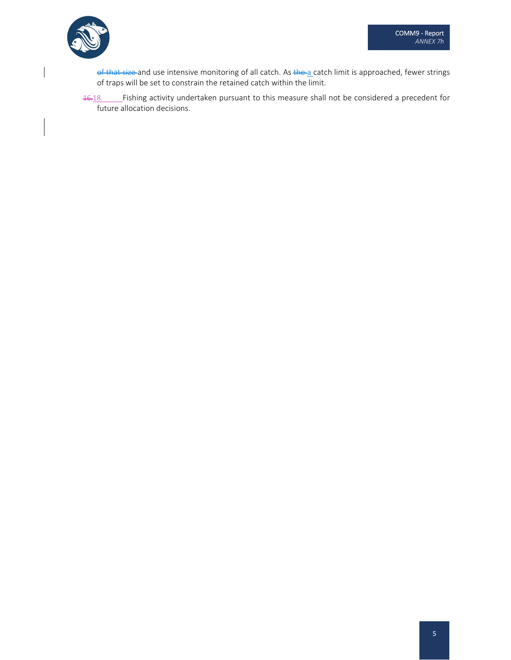

 $\overline{\phantom{a}}$ 

of that size and use intensive monitoring of all catch. As the a catch limit is approached, fewer strings of traps will be set to constrain the retained catch within the limit.

16.18. Fishing activity undertaken pursuant to this measure shall not be considered a precedent for future allocation decisions.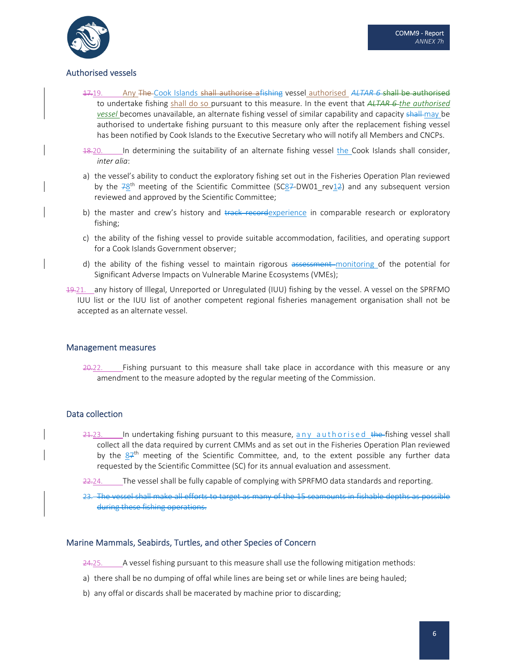

# Authorised vessels

- 17.19. Any The Cook Islands shall authorise afishing vessel authorised *ALTAR 6* shall be authorised to undertake fishing shall do so pursuant to this measure. In the event that *ALTAR 6 the authorised vessel* becomes unavailable, an alternate fishing vessel of similar capability and capacity shall may be authorised to undertake fishing pursuant to this measure only after the replacement fishing vessel has been notified by Cook Islands to the Executive Secretary who will notify all Members and CNCPs.
- 18.20. In determining the suitability of an alternate fishing vessel the Cook Islands shall consider, *inter alia*:
- a) the vessel's ability to conduct the exploratory fishing set out in the Fisheries Operation Plan reviewed by the  $78<sup>th</sup>$  meeting of the Scientific Committee (SC87-DW01\_rev12) and any subsequent version reviewed and approved by the Scientific Committee;
- b) the master and crew's history and track recordexperience in comparable research or exploratory fishing;
- c) the ability of the fishing vessel to provide suitable accommodation, facilities, and operating support for a Cook Islands Government observer;
- d) the ability of the fishing vessel to maintain rigorous assessment monitoring of the potential for Significant Adverse Impacts on Vulnerable Marine Ecosystems (VMEs);
- 19.21. any history of Illegal, Unreported or Unregulated (IUU) fishing by the vessel. A vessel on the SPRFMO IUU list or the IUU list of another competent regional fisheries management organisation shall not be accepted as an alternate vessel.

#### Management measures

20.22. Fishing pursuant to this measure shall take place in accordance with this measure or any amendment to the measure adopted by the regular meeting of the Commission.

## Data collection

- $21.23.$  In undertaking fishing pursuant to this measure, any authorised the fishing vessel shall collect all the data required by current CMMs and as set out in the Fisheries Operation Plan reviewed by the  $87<sup>th</sup>$  meeting of the Scientific Committee, and, to the extent possible any further data requested by the Scientific Committee (SC) for its annual evaluation and assessment.
- 22.24. The vessel shall be fully capable of complying with SPRFMO data standards and reporting.
- 23. The vessel shall make all efforts to target as many of the 15 seamounts in fishable depths as possible during these fishing operations.

## Marine Mammals, Seabirds, Turtles, and other Species of Concern

- 24.25. A vessel fishing pursuant to this measure shall use the following mitigation methods:
- a) there shall be no dumping of offal while lines are being set or while lines are being hauled;
- b) any offal or discards shall be macerated by machine prior to discarding;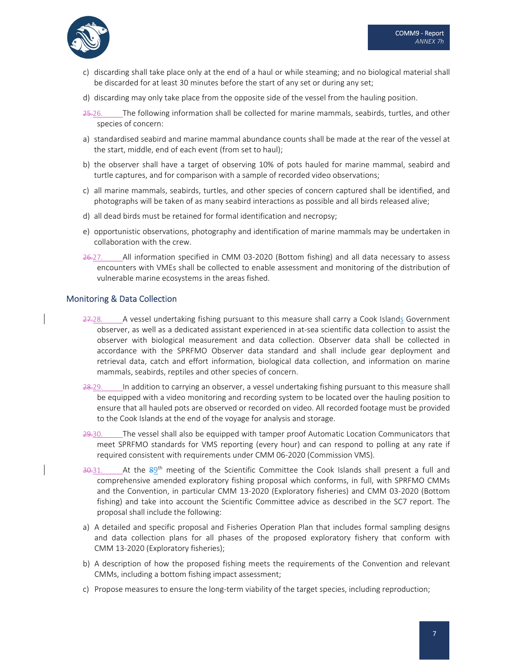

- c) discarding shall take place only at the end of a haul or while steaming; and no biological material shall be discarded for at least 30 minutes before the start of any set or during any set;
- d) discarding may only take place from the opposite side of the vessel from the hauling position.
- 25.26. The following information shall be collected for marine mammals, seabirds, turtles, and other species of concern:
- a) standardised seabird and marine mammal abundance counts shall be made at the rear of the vessel at the start, middle, end of each event (from set to haul);
- b) the observer shall have a target of observing 10% of pots hauled for marine mammal, seabird and turtle captures, and for comparison with a sample of recorded video observations;
- c) all marine mammals, seabirds, turtles, and other species of concern captured shall be identified, and photographs will be taken of as many seabird interactions as possible and all birds released alive;
- d) all dead birds must be retained for formal identification and necropsy;
- e) opportunistic observations, photography and identification of marine mammals may be undertaken in collaboration with the crew.
- 26.27. All information specified in CMM 03-2020 (Bottom fishing) and all data necessary to assess encounters with VMEs shall be collected to enable assessment and monitoring of the distribution of vulnerable marine ecosystems in the areas fished.

#### Monitoring & Data Collection

- 27.28. A vessel undertaking fishing pursuant to this measure shall carry a Cook Islands Government observer, as well as a dedicated assistant experienced in at‐sea scientific data collection to assist the observer with biological measurement and data collection. Observer data shall be collected in accordance with the SPRFMO Observer data standard and shall include gear deployment and retrieval data, catch and effort information, biological data collection, and information on marine mammals, seabirds, reptiles and other species of concern.
- 28.29. In addition to carrying an observer, a vessel undertaking fishing pursuant to this measure shall be equipped with a video monitoring and recording system to be located over the hauling position to ensure that all hauled pots are observed or recorded on video. All recorded footage must be provided to the Cook Islands at the end of the voyage for analysis and storage.
- 29.30. The vessel shall also be equipped with tamper proof Automatic Location Communicators that meet SPRFMO standards for VMS reporting (every hour) and can respond to polling at any rate if required consistent with requirements under CMM 06‐2020 (Commission VMS).
- 30.31. At the 89<sup>th</sup> meeting of the Scientific Committee the Cook Islands shall present a full and comprehensive amended exploratory fishing proposal which conforms, in full, with SPRFMO CMMs and the Convention, in particular CMM 13‐2020 (Exploratory fisheries) and CMM 03‐2020 (Bottom fishing) and take into account the Scientific Committee advice as described in the SC7 report. The proposal shall include the following:
- a) A detailed and specific proposal and Fisheries Operation Plan that includes formal sampling designs and data collection plans for all phases of the proposed exploratory fishery that conform with CMM 13‐2020 (Exploratory fisheries);
- b) A description of how the proposed fishing meets the requirements of the Convention and relevant CMMs, including a bottom fishing impact assessment;
- c) Propose measures to ensure the long‐term viability of the target species, including reproduction;